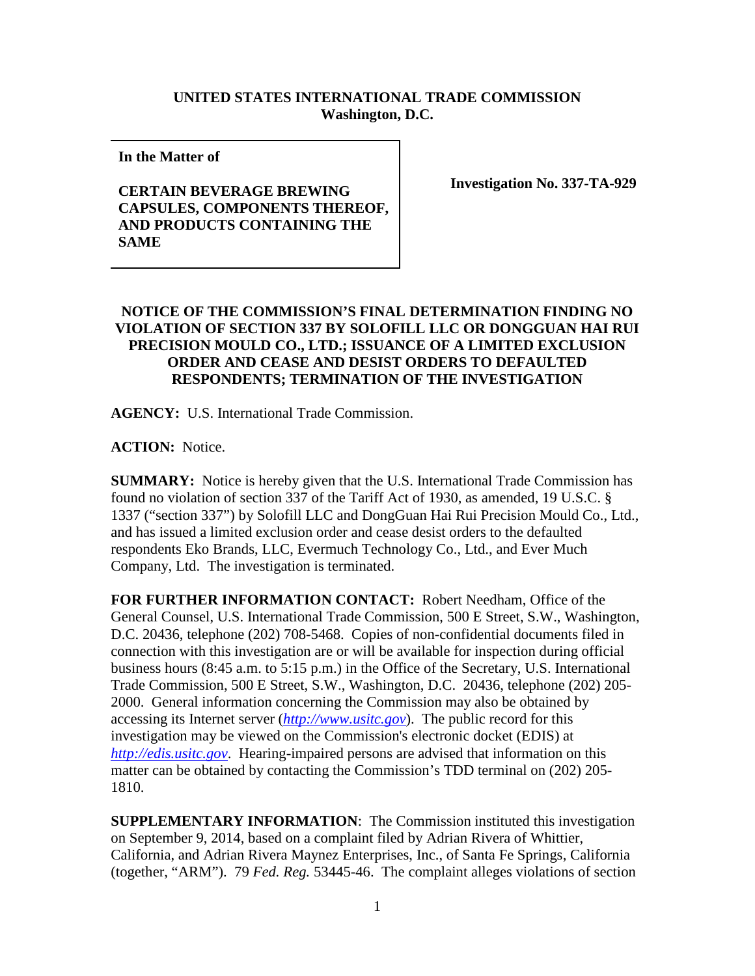## **UNITED STATES INTERNATIONAL TRADE COMMISSION Washington, D.C.**

**In the Matter of** 

## **CERTAIN BEVERAGE BREWING CAPSULES, COMPONENTS THEREOF, AND PRODUCTS CONTAINING THE SAME**

**Investigation No. 337-TA-929**

## **NOTICE OF THE COMMISSION'S FINAL DETERMINATION FINDING NO VIOLATION OF SECTION 337 BY SOLOFILL LLC OR DONGGUAN HAI RUI PRECISION MOULD CO., LTD.; ISSUANCE OF A LIMITED EXCLUSION ORDER AND CEASE AND DESIST ORDERS TO DEFAULTED RESPONDENTS; TERMINATION OF THE INVESTIGATION**

**AGENCY:** U.S. International Trade Commission.

**ACTION:** Notice.

**SUMMARY:** Notice is hereby given that the U.S. International Trade Commission has found no violation of section 337 of the Tariff Act of 1930, as amended, 19 U.S.C. § 1337 ("section 337") by Solofill LLC and DongGuan Hai Rui Precision Mould Co., Ltd., and has issued a limited exclusion order and cease desist orders to the defaulted respondents Eko Brands, LLC, Evermuch Technology Co., Ltd., and Ever Much Company, Ltd. The investigation is terminated.

**FOR FURTHER INFORMATION CONTACT:** Robert Needham, Office of the General Counsel, U.S. International Trade Commission, 500 E Street, S.W., Washington, D.C. 20436, telephone (202) 708-5468. Copies of non-confidential documents filed in connection with this investigation are or will be available for inspection during official business hours (8:45 a.m. to 5:15 p.m.) in the Office of the Secretary, U.S. International Trade Commission, 500 E Street, S.W., Washington, D.C. 20436, telephone (202) 205- 2000. General information concerning the Commission may also be obtained by accessing its Internet server (*[http://www.usitc.gov](http://www.usitc.gov/)*). The public record for this investigation may be viewed on the Commission's electronic docket (EDIS) at *[http://edis.usitc.gov](http://edis.usitc.gov/)*. Hearing-impaired persons are advised that information on this matter can be obtained by contacting the Commission's TDD terminal on (202) 205- 1810.

**SUPPLEMENTARY INFORMATION**: The Commission instituted this investigation on September 9, 2014, based on a complaint filed by Adrian Rivera of Whittier, California, and Adrian Rivera Maynez Enterprises, Inc., of Santa Fe Springs, California (together, "ARM"). 79 *Fed. Reg.* 53445-46. The complaint alleges violations of section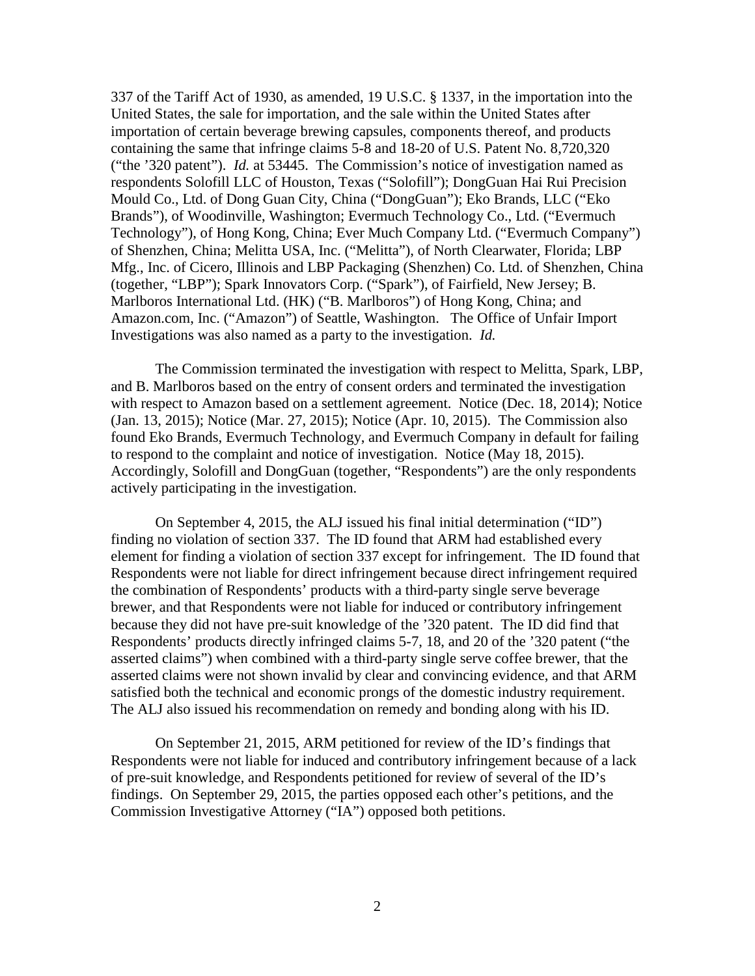337 of the Tariff Act of 1930, as amended, 19 U.S.C. § 1337, in the importation into the United States, the sale for importation, and the sale within the United States after importation of certain beverage brewing capsules, components thereof, and products containing the same that infringe claims 5-8 and 18-20 of U.S. Patent No. 8,720,320 ("the '320 patent"). *Id.* at 53445. The Commission's notice of investigation named as respondents Solofill LLC of Houston, Texas ("Solofill"); DongGuan Hai Rui Precision Mould Co., Ltd. of Dong Guan City, China ("DongGuan"); Eko Brands, LLC ("Eko Brands"), of Woodinville, Washington; Evermuch Technology Co., Ltd. ("Evermuch Technology"), of Hong Kong, China; Ever Much Company Ltd. ("Evermuch Company") of Shenzhen, China; Melitta USA, Inc. ("Melitta"), of North Clearwater, Florida; LBP Mfg., Inc. of Cicero, Illinois and LBP Packaging (Shenzhen) Co. Ltd. of Shenzhen, China (together, "LBP"); Spark Innovators Corp. ("Spark"), of Fairfield, New Jersey; B. Marlboros International Ltd. (HK) ("B. Marlboros") of Hong Kong, China; and Amazon.com, Inc. ("Amazon") of Seattle, Washington. The Office of Unfair Import Investigations was also named as a party to the investigation. *Id.*

The Commission terminated the investigation with respect to Melitta, Spark, LBP, and B. Marlboros based on the entry of consent orders and terminated the investigation with respect to Amazon based on a settlement agreement. Notice (Dec. 18, 2014); Notice (Jan. 13, 2015); Notice (Mar. 27, 2015); Notice (Apr. 10, 2015). The Commission also found Eko Brands, Evermuch Technology, and Evermuch Company in default for failing to respond to the complaint and notice of investigation. Notice (May 18, 2015). Accordingly, Solofill and DongGuan (together, "Respondents") are the only respondents actively participating in the investigation.

On September 4, 2015, the ALJ issued his final initial determination ("ID") finding no violation of section 337. The ID found that ARM had established every element for finding a violation of section 337 except for infringement. The ID found that Respondents were not liable for direct infringement because direct infringement required the combination of Respondents' products with a third-party single serve beverage brewer, and that Respondents were not liable for induced or contributory infringement because they did not have pre-suit knowledge of the '320 patent. The ID did find that Respondents' products directly infringed claims 5-7, 18, and 20 of the '320 patent ("the asserted claims") when combined with a third-party single serve coffee brewer, that the asserted claims were not shown invalid by clear and convincing evidence, and that ARM satisfied both the technical and economic prongs of the domestic industry requirement. The ALJ also issued his recommendation on remedy and bonding along with his ID.

On September 21, 2015, ARM petitioned for review of the ID's findings that Respondents were not liable for induced and contributory infringement because of a lack of pre-suit knowledge, and Respondents petitioned for review of several of the ID's findings. On September 29, 2015, the parties opposed each other's petitions, and the Commission Investigative Attorney ("IA") opposed both petitions.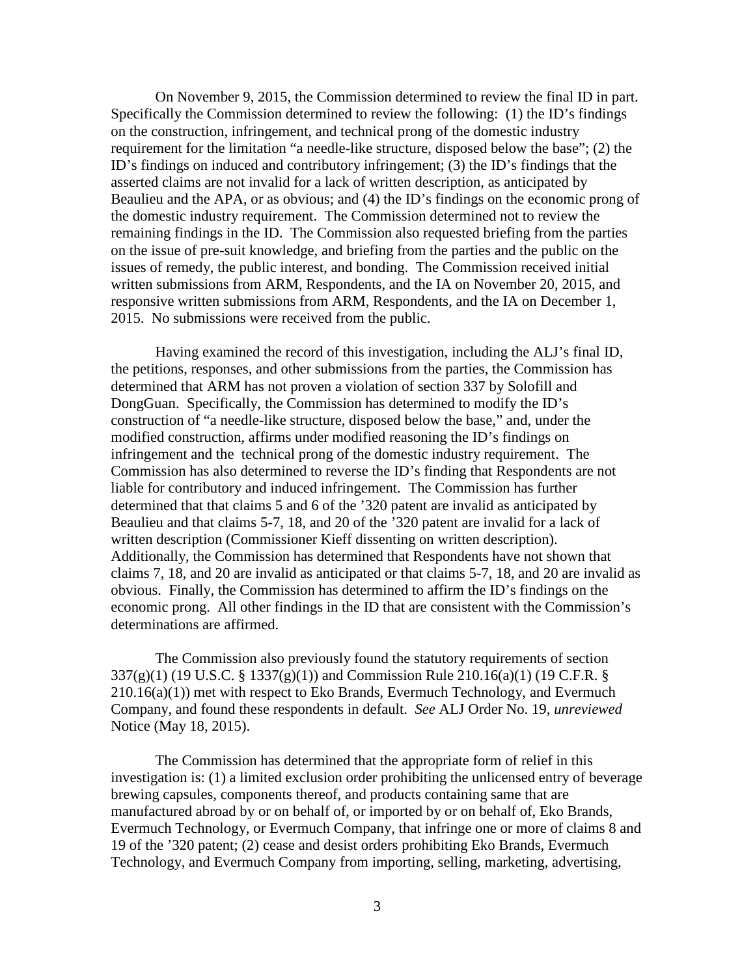On November 9, 2015, the Commission determined to review the final ID in part. Specifically the Commission determined to review the following: (1) the ID's findings on the construction, infringement, and technical prong of the domestic industry requirement for the limitation "a needle-like structure, disposed below the base"; (2) the ID's findings on induced and contributory infringement; (3) the ID's findings that the asserted claims are not invalid for a lack of written description, as anticipated by Beaulieu and the APA, or as obvious; and (4) the ID's findings on the economic prong of the domestic industry requirement. The Commission determined not to review the remaining findings in the ID. The Commission also requested briefing from the parties on the issue of pre-suit knowledge, and briefing from the parties and the public on the issues of remedy, the public interest, and bonding. The Commission received initial written submissions from ARM, Respondents, and the IA on November 20, 2015, and responsive written submissions from ARM, Respondents, and the IA on December 1, 2015. No submissions were received from the public.

Having examined the record of this investigation, including the ALJ's final ID, the petitions, responses, and other submissions from the parties, the Commission has determined that ARM has not proven a violation of section 337 by Solofill and DongGuan. Specifically, the Commission has determined to modify the ID's construction of "a needle-like structure, disposed below the base," and, under the modified construction, affirms under modified reasoning the ID's findings on infringement and the technical prong of the domestic industry requirement. The Commission has also determined to reverse the ID's finding that Respondents are not liable for contributory and induced infringement. The Commission has further determined that that claims 5 and 6 of the '320 patent are invalid as anticipated by Beaulieu and that claims 5-7, 18, and 20 of the '320 patent are invalid for a lack of written description (Commissioner Kieff dissenting on written description). Additionally, the Commission has determined that Respondents have not shown that claims 7, 18, and 20 are invalid as anticipated or that claims 5-7, 18, and 20 are invalid as obvious. Finally, the Commission has determined to affirm the ID's findings on the economic prong. All other findings in the ID that are consistent with the Commission's determinations are affirmed.

The Commission also previously found the statutory requirements of section 337(g)(1) (19 U.S.C. § 1337(g)(1)) and Commission Rule 210.16(a)(1) (19 C.F.R. §  $210.16(a)(1)$  met with respect to Eko Brands, Evermuch Technology, and Evermuch Company, and found these respondents in default. *See* ALJ Order No. 19, *unreviewed* Notice (May 18, 2015).

The Commission has determined that the appropriate form of relief in this investigation is: (1) a limited exclusion order prohibiting the unlicensed entry of beverage brewing capsules, components thereof, and products containing same that are manufactured abroad by or on behalf of, or imported by or on behalf of, Eko Brands, Evermuch Technology, or Evermuch Company, that infringe one or more of claims 8 and 19 of the '320 patent; (2) cease and desist orders prohibiting Eko Brands, Evermuch Technology, and Evermuch Company from importing, selling, marketing, advertising,